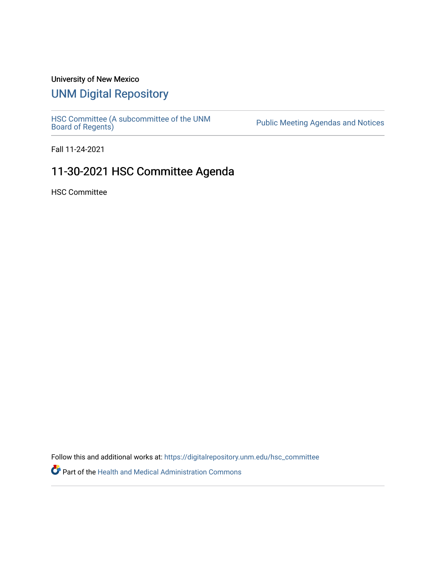## University of New Mexico

# [UNM Digital Repository](https://digitalrepository.unm.edu/)

[HSC Committee \(A subcommittee of the UNM](https://digitalrepository.unm.edu/hsc_committee) Public Meeting Agendas and Notices<br>[Board of Regents\)](https://digitalrepository.unm.edu/hsc_committee)

Fall 11-24-2021

# 11-30-2021 HSC Committee Agenda

HSC Committee

Follow this and additional works at: [https://digitalrepository.unm.edu/hsc\\_committee](https://digitalrepository.unm.edu/hsc_committee?utm_source=digitalrepository.unm.edu%2Fhsc_committee%2F303&utm_medium=PDF&utm_campaign=PDFCoverPages) 

Part of the [Health and Medical Administration Commons](http://network.bepress.com/hgg/discipline/663?utm_source=digitalrepository.unm.edu%2Fhsc_committee%2F303&utm_medium=PDF&utm_campaign=PDFCoverPages)